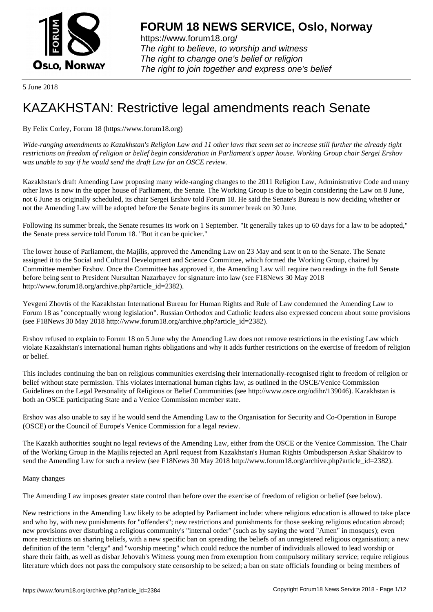

https://www.forum18.org/ The right to believe, to worship and witness The right to change one's belief or religion [The right to join together a](https://www.forum18.org/)nd express one's belief

5 June 2018

## [KAZAKHSTAN:](https://www.forum18.org) Restrictive legal amendments reach Senate

By Felix Corley, Forum 18 (https://www.forum18.org)

*Wide-ranging amendments to Kazakhstan's Religion Law and 11 other laws that seem set to increase still further the already tight restrictions on freedom of religion or belief begin consideration in Parliament's upper house. Working Group chair Sergei Ershov was unable to say if he would send the draft Law for an OSCE review.*

Kazakhstan's draft Amending Law proposing many wide-ranging changes to the 2011 Religion Law, Administrative Code and many other laws is now in the upper house of Parliament, the Senate. The Working Group is due to begin considering the Law on 8 June, not 6 June as originally scheduled, its chair Sergei Ershov told Forum 18. He said the Senate's Bureau is now deciding whether or not the Amending Law will be adopted before the Senate begins its summer break on 30 June.

Following its summer break, the Senate resumes its work on 1 September. "It generally takes up to 60 days for a law to be adopted," the Senate press service told Forum 18. "But it can be quicker."

The lower house of Parliament, the Majilis, approved the Amending Law on 23 May and sent it on to the Senate. The Senate assigned it to the Social and Cultural Development and Science Committee, which formed the Working Group, chaired by Committee member Ershov. Once the Committee has approved it, the Amending Law will require two readings in the full Senate before being sent to President Nursultan Nazarbayev for signature into law (see F18News 30 May 2018 http://www.forum18.org/archive.php?article\_id=2382).

Yevgeni Zhovtis of the Kazakhstan International Bureau for Human Rights and Rule of Law condemned the Amending Law to Forum 18 as "conceptually wrong legislation". Russian Orthodox and Catholic leaders also expressed concern about some provisions (see F18News 30 May 2018 http://www.forum18.org/archive.php?article\_id=2382).

Ershov refused to explain to Forum 18 on 5 June why the Amending Law does not remove restrictions in the existing Law which violate Kazakhstan's international human rights obligations and why it adds further restrictions on the exercise of freedom of religion or belief.

This includes continuing the ban on religious communities exercising their internationally-recognised right to freedom of religion or belief without state permission. This violates international human rights law, as outlined in the OSCE/Venice Commission Guidelines on the Legal Personality of Religious or Belief Communities (see http://www.osce.org/odihr/139046). Kazakhstan is both an OSCE participating State and a Venice Commission member state.

Ershov was also unable to say if he would send the Amending Law to the Organisation for Security and Co-Operation in Europe (OSCE) or the Council of Europe's Venice Commission for a legal review.

The Kazakh authorities sought no legal reviews of the Amending Law, either from the OSCE or the Venice Commission. The Chair of the Working Group in the Majilis rejected an April request from Kazakhstan's Human Rights Ombudsperson Askar Shakirov to send the Amending Law for such a review (see F18News 30 May 2018 http://www.forum18.org/archive.php?article\_id=2382).

Many changes

The Amending Law imposes greater state control than before over the exercise of freedom of religion or belief (see below).

New restrictions in the Amending Law likely to be adopted by Parliament include: where religious education is allowed to take place and who by, with new punishments for "offenders"; new restrictions and punishments for those seeking religious education abroad; new provisions over disturbing a religious community's "internal order" (such as by saying the word "Amen" in mosques); even more restrictions on sharing beliefs, with a new specific ban on spreading the beliefs of an unregistered religious organisation; a new definition of the term "clergy" and "worship meeting" which could reduce the number of individuals allowed to lead worship or share their faith, as well as disbar Jehovah's Witness young men from exemption from compulsory military service; require religious literature which does not pass the compulsory state censorship to be seized; a ban on state officials founding or being members of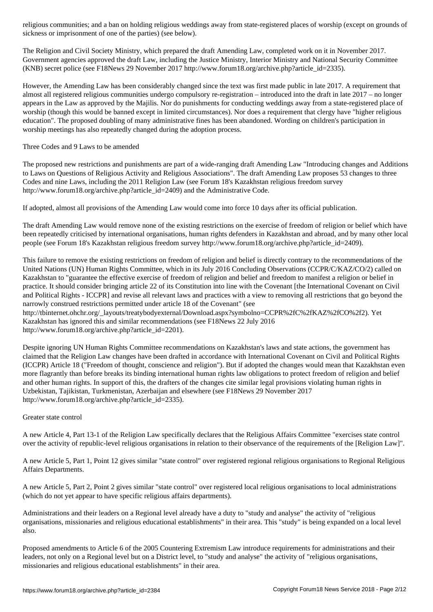sickness or imprisonment of one of the parties) (see below).

The Religion and Civil Society Ministry, which prepared the draft Amending Law, completed work on it in November 2017. Government agencies approved the draft Law, including the Justice Ministry, Interior Ministry and National Security Committee (KNB) secret police (see F18News 29 November 2017 http://www.forum18.org/archive.php?article\_id=2335).

However, the Amending Law has been considerably changed since the text was first made public in late 2017. A requirement that almost all registered religious communities undergo compulsory re-registration – introduced into the draft in late 2017 – no longer appears in the Law as approved by the Majilis. Nor do punishments for conducting weddings away from a state-registered place of worship (though this would be banned except in limited circumstances). Nor does a requirement that clergy have "higher religious education". The proposed doubling of many administrative fines has been abandoned. Wording on children's participation in worship meetings has also repeatedly changed during the adoption process.

Three Codes and 9 Laws to be amended

The proposed new restrictions and punishments are part of a wide-ranging draft Amending Law "Introducing changes and Additions to Laws on Questions of Religious Activity and Religious Associations". The draft Amending Law proposes 53 changes to three Codes and nine Laws, including the 2011 Religion Law (see Forum 18's Kazakhstan religious freedom survey http://www.forum18.org/archive.php?article\_id=2409) and the Administrative Code.

If adopted, almost all provisions of the Amending Law would come into force 10 days after its official publication.

The draft Amending Law would remove none of the existing restrictions on the exercise of freedom of religion or belief which have been repeatedly criticised by international organisations, human rights defenders in Kazakhstan and abroad, and by many other local people (see Forum 18's Kazakhstan religious freedom survey http://www.forum18.org/archive.php?article\_id=2409).

This failure to remove the existing restrictions on freedom of religion and belief is directly contrary to the recommendations of the United Nations (UN) Human Rights Committee, which in its July 2016 Concluding Observations (CCPR/C/KAZ/CO/2) called on Kazakhstan to "guarantee the effective exercise of freedom of religion and belief and freedom to manifest a religion or belief in practice. It should consider bringing article 22 of its Constitution into line with the Covenant [the International Covenant on Civil and Political Rights - ICCPR] and revise all relevant laws and practices with a view to removing all restrictions that go beyond the narrowly construed restrictions permitted under article 18 of the Covenant" (see http://tbinternet.ohchr.org/\_layouts/treatybodyexternal/Download.aspx?symbolno=CCPR%2fC%2fKAZ%2fCO%2f2). Yet Kazakhstan has ignored this and similar recommendations (see F18News 22 July 2016

http://www.forum18.org/archive.php?article\_id=2201).

Despite ignoring UN Human Rights Committee recommendations on Kazakhstan's laws and state actions, the government has claimed that the Religion Law changes have been drafted in accordance with International Covenant on Civil and Political Rights (ICCPR) Article 18 ("Freedom of thought, conscience and religion"). But if adopted the changes would mean that Kazakhstan even more flagrantly than before breaks its binding international human rights law obligations to protect freedom of religion and belief and other human rights. In support of this, the drafters of the changes cite similar legal provisions violating human rights in Uzbekistan, Tajikistan, Turkmenistan, Azerbaijan and elsewhere (see F18News 29 November 2017 http://www.forum18.org/archive.php?article\_id=2335).

## Greater state control

A new Article 4, Part 13-1 of the Religion Law specifically declares that the Religious Affairs Committee "exercises state control over the activity of republic-level religious organisations in relation to their observance of the requirements of the [Religion Law]".

A new Article 5, Part 1, Point 12 gives similar "state control" over registered regional religious organisations to Regional Religious Affairs Departments.

A new Article 5, Part 2, Point 2 gives similar "state control" over registered local religious organisations to local administrations (which do not yet appear to have specific religious affairs departments).

Administrations and their leaders on a Regional level already have a duty to "study and analyse" the activity of "religious organisations, missionaries and religious educational establishments" in their area. This "study" is being expanded on a local level also.

Proposed amendments to Article 6 of the 2005 Countering Extremism Law introduce requirements for administrations and their leaders, not only on a Regional level but on a District level, to "study and analyse" the activity of "religious organisations, missionaries and religious educational establishments" in their area.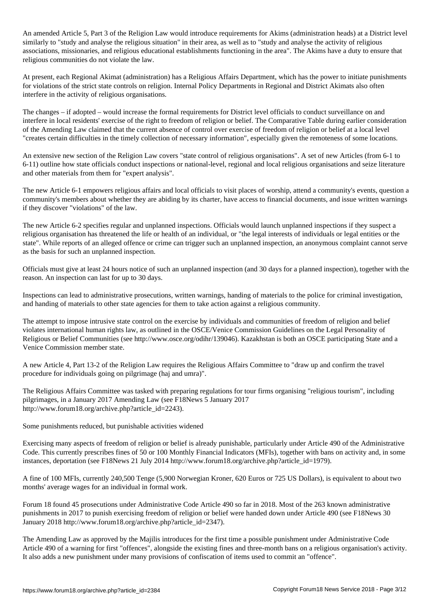Article 5, Part 3 of the Religion Law would introduce requirements for Akims (administration heads) at a District level  $\ell$ similarly to "study and analyse the religious situation" in their area, as well as to "study and analyse the activity of religious associations, missionaries, and religious educational establishments functioning in the area". The Akims have a duty to ensure that religious communities do not violate the law.

At present, each Regional Akimat (administration) has a Religious Affairs Department, which has the power to initiate punishments for violations of the strict state controls on religion. Internal Policy Departments in Regional and District Akimats also often interfere in the activity of religious organisations.

The changes – if adopted – would increase the formal requirements for District level officials to conduct surveillance on and interfere in local residents' exercise of the right to freedom of religion or belief. The Comparative Table during earlier consideration of the Amending Law claimed that the current absence of control over exercise of freedom of religion or belief at a local level "creates certain difficulties in the timely collection of necessary information", especially given the remoteness of some locations.

An extensive new section of the Religion Law covers "state control of religious organisations". A set of new Articles (from 6-1 to 6-11) outline how state officials conduct inspections or national-level, regional and local religious organisations and seize literature and other materials from them for "expert analysis".

The new Article 6-1 empowers religious affairs and local officials to visit places of worship, attend a community's events, question a community's members about whether they are abiding by its charter, have access to financial documents, and issue written warnings if they discover "violations" of the law.

The new Article 6-2 specifies regular and unplanned inspections. Officials would launch unplanned inspections if they suspect a religious organisation has threatened the life or health of an individual, or "the legal interests of individuals or legal entities or the state". While reports of an alleged offence or crime can trigger such an unplanned inspection, an anonymous complaint cannot serve as the basis for such an unplanned inspection.

Officials must give at least 24 hours notice of such an unplanned inspection (and 30 days for a planned inspection), together with the reason. An inspection can last for up to 30 days.

Inspections can lead to administrative prosecutions, written warnings, handing of materials to the police for criminal investigation, and handing of materials to other state agencies for them to take action against a religious community.

The attempt to impose intrusive state control on the exercise by individuals and communities of freedom of religion and belief violates international human rights law, as outlined in the OSCE/Venice Commission Guidelines on the Legal Personality of Religious or Belief Communities (see http://www.osce.org/odihr/139046). Kazakhstan is both an OSCE participating State and a Venice Commission member state.

A new Article 4, Part 13-2 of the Religion Law requires the Religious Affairs Committee to "draw up and confirm the travel procedure for individuals going on pilgrimage (haj and umra)".

The Religious Affairs Committee was tasked with preparing regulations for tour firms organising "religious tourism", including pilgrimages, in a January 2017 Amending Law (see F18News 5 January 2017 http://www.forum18.org/archive.php?article\_id=2243).

Some punishments reduced, but punishable activities widened

Exercising many aspects of freedom of religion or belief is already punishable, particularly under Article 490 of the Administrative Code. This currently prescribes fines of 50 or 100 Monthly Financial Indicators (MFIs), together with bans on activity and, in some instances, deportation (see F18News 21 July 2014 http://www.forum18.org/archive.php?article\_id=1979).

A fine of 100 MFIs, currently 240,500 Tenge (5,900 Norwegian Kroner, 620 Euros or 725 US Dollars), is equivalent to about two months' average wages for an individual in formal work.

Forum 18 found 45 prosecutions under Administrative Code Article 490 so far in 2018. Most of the 263 known administrative punishments in 2017 to punish exercising freedom of religion or belief were handed down under Article 490 (see F18News 30 January 2018 http://www.forum18.org/archive.php?article\_id=2347).

The Amending Law as approved by the Majilis introduces for the first time a possible punishment under Administrative Code Article 490 of a warning for first "offences", alongside the existing fines and three-month bans on a religious organisation's activity. It also adds a new punishment under many provisions of confiscation of items used to commit an "offence".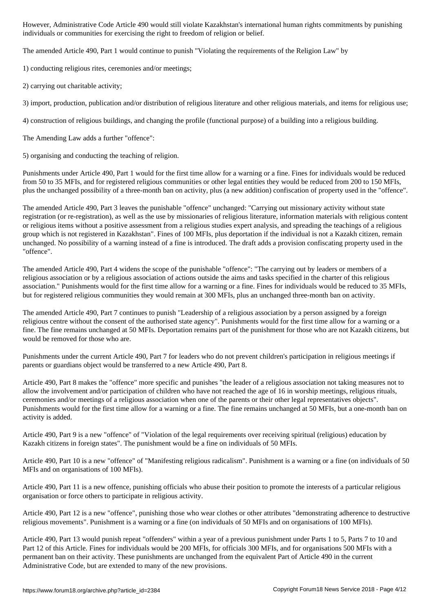individuals or communities for exercising the right to freedom of religion or belief.

The amended Article 490, Part 1 would continue to punish "Violating the requirements of the Religion Law" by

1) conducting religious rites, ceremonies and/or meetings;

2) carrying out charitable activity;

3) import, production, publication and/or distribution of religious literature and other religious materials, and items for religious use;

4) construction of religious buildings, and changing the profile (functional purpose) of a building into a religious building.

The Amending Law adds a further "offence":

5) organising and conducting the teaching of religion.

Punishments under Article 490, Part 1 would for the first time allow for a warning or a fine. Fines for individuals would be reduced from 50 to 35 MFIs, and for registered religious communities or other legal entities they would be reduced from 200 to 150 MFIs, plus the unchanged possibility of a three-month ban on activity, plus (a new addition) confiscation of property used in the "offence".

The amended Article 490, Part 3 leaves the punishable "offence" unchanged: "Carrying out missionary activity without state registration (or re-registration), as well as the use by missionaries of religious literature, information materials with religious content or religious items without a positive assessment from a religious studies expert analysis, and spreading the teachings of a religious group which is not registered in Kazakhstan". Fines of 100 MFIs, plus deportation if the individual is not a Kazakh citizen, remain unchanged. No possibility of a warning instead of a fine is introduced. The draft adds a provision confiscating property used in the "offence".

The amended Article 490, Part 4 widens the scope of the punishable "offence": "The carrying out by leaders or members of a religious association or by a religious association of actions outside the aims and tasks specified in the charter of this religious association." Punishments would for the first time allow for a warning or a fine. Fines for individuals would be reduced to 35 MFIs, but for registered religious communities they would remain at 300 MFIs, plus an unchanged three-month ban on activity.

The amended Article 490, Part 7 continues to punish "Leadership of a religious association by a person assigned by a foreign religious centre without the consent of the authorised state agency". Punishments would for the first time allow for a warning or a fine. The fine remains unchanged at 50 MFIs. Deportation remains part of the punishment for those who are not Kazakh citizens, but would be removed for those who are.

Punishments under the current Article 490, Part 7 for leaders who do not prevent children's participation in religious meetings if parents or guardians object would be transferred to a new Article 490, Part 8.

Article 490, Part 8 makes the "offence" more specific and punishes "the leader of a religious association not taking measures not to allow the involvement and/or participation of children who have not reached the age of 16 in worship meetings, religious rituals, ceremonies and/or meetings of a religious association when one of the parents or their other legal representatives objects". Punishments would for the first time allow for a warning or a fine. The fine remains unchanged at 50 MFIs, but a one-month ban on activity is added.

Article 490, Part 9 is a new "offence" of "Violation of the legal requirements over receiving spiritual (religious) education by Kazakh citizens in foreign states". The punishment would be a fine on individuals of 50 MFIs.

Article 490, Part 10 is a new "offence" of "Manifesting religious radicalism". Punishment is a warning or a fine (on individuals of 50 MFIs and on organisations of 100 MFIs).

Article 490, Part 11 is a new offence, punishing officials who abuse their position to promote the interests of a particular religious organisation or force others to participate in religious activity.

Article 490, Part 12 is a new "offence", punishing those who wear clothes or other attributes "demonstrating adherence to destructive religious movements". Punishment is a warning or a fine (on individuals of 50 MFIs and on organisations of 100 MFIs).

Article 490, Part 13 would punish repeat "offenders" within a year of a previous punishment under Parts 1 to 5, Parts 7 to 10 and Part 12 of this Article. Fines for individuals would be 200 MFIs, for officials 300 MFIs, and for organisations 500 MFIs with a permanent ban on their activity. These punishments are unchanged from the equivalent Part of Article 490 in the current Administrative Code, but are extended to many of the new provisions.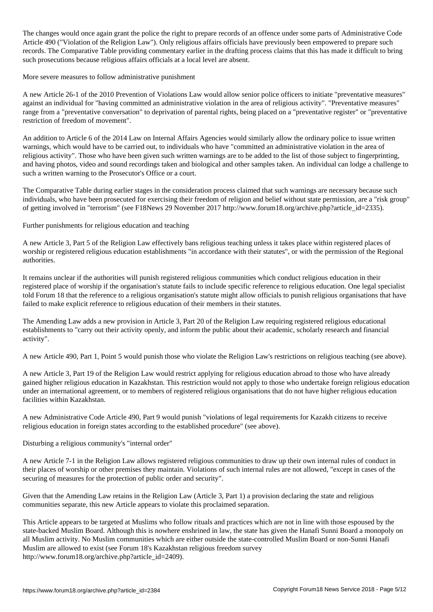The changes would once again grant the police the right to prepare records of an offence under some parts of Administrative Code Article 490 ("Violation of the Religion Law"). Only religious affairs officials have previously been empowered to prepare such records. The Comparative Table providing commentary earlier in the drafting process claims that this has made it difficult to bring such prosecutions because religious affairs officials at a local level are absent.

More severe measures to follow administrative punishment

A new Article 26-1 of the 2010 Prevention of Violations Law would allow senior police officers to initiate "preventative measures" against an individual for "having committed an administrative violation in the area of religious activity". "Preventative measures" range from a "preventative conversation" to deprivation of parental rights, being placed on a "preventative register" or "preventative restriction of freedom of movement".

An addition to Article 6 of the 2014 Law on Internal Affairs Agencies would similarly allow the ordinary police to issue written warnings, which would have to be carried out, to individuals who have "committed an administrative violation in the area of religious activity". Those who have been given such written warnings are to be added to the list of those subject to fingerprinting, and having photos, video and sound recordings taken and biological and other samples taken. An individual can lodge a challenge to such a written warning to the Prosecutor's Office or a court.

The Comparative Table during earlier stages in the consideration process claimed that such warnings are necessary because such individuals, who have been prosecuted for exercising their freedom of religion and belief without state permission, are a "risk group" of getting involved in "terrorism" (see F18News 29 November 2017 http://www.forum18.org/archive.php?article\_id=2335).

Further punishments for religious education and teaching

A new Article 3, Part 5 of the Religion Law effectively bans religious teaching unless it takes place within registered places of worship or registered religious education establishments "in accordance with their statutes", or with the permission of the Regional authorities.

It remains unclear if the authorities will punish registered religious communities which conduct religious education in their registered place of worship if the organisation's statute fails to include specific reference to religious education. One legal specialist told Forum 18 that the reference to a religious organisation's statute might allow officials to punish religious organisations that have failed to make explicit reference to religious education of their members in their statutes.

The Amending Law adds a new provision in Article 3, Part 20 of the Religion Law requiring registered religious educational establishments to "carry out their activity openly, and inform the public about their academic, scholarly research and financial activity".

A new Article 490, Part 1, Point 5 would punish those who violate the Religion Law's restrictions on religious teaching (see above).

A new Article 3, Part 19 of the Religion Law would restrict applying for religious education abroad to those who have already gained higher religious education in Kazakhstan. This restriction would not apply to those who undertake foreign religious education under an international agreement, or to members of registered religious organisations that do not have higher religious education facilities within Kazakhstan.

A new Administrative Code Article 490, Part 9 would punish "violations of legal requirements for Kazakh citizens to receive religious education in foreign states according to the established procedure" (see above).

Disturbing a religious community's "internal order"

A new Article 7-1 in the Religion Law allows registered religious communities to draw up their own internal rules of conduct in their places of worship or other premises they maintain. Violations of such internal rules are not allowed, "except in cases of the securing of measures for the protection of public order and security".

Given that the Amending Law retains in the Religion Law (Article 3, Part 1) a provision declaring the state and religious communities separate, this new Article appears to violate this proclaimed separation.

This Article appears to be targeted at Muslims who follow rituals and practices which are not in line with those espoused by the state-backed Muslim Board. Although this is nowhere enshrined in law, the state has given the Hanafi Sunni Board a monopoly on all Muslim activity. No Muslim communities which are either outside the state-controlled Muslim Board or non-Sunni Hanafi Muslim are allowed to exist (see Forum 18's Kazakhstan religious freedom survey http://www.forum18.org/archive.php?article\_id=2409).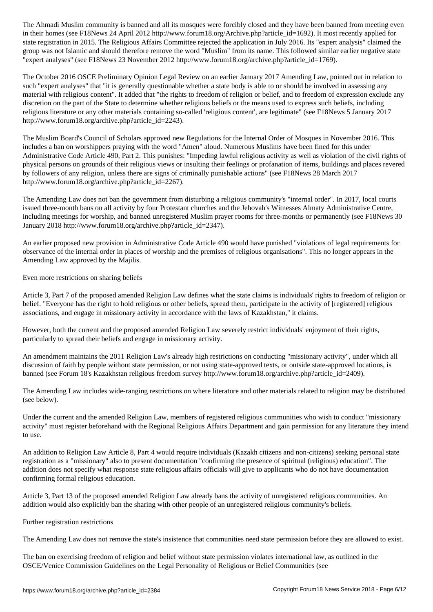in the first contribution  $\omega$  and  $\omega$  are contribution for  $\omega$  recently applied for  $\omega$  recently applied for  $\omega$ state registration in 2015. The Religious Affairs Committee rejected the application in July 2016. Its "expert analysis" claimed the group was not Islamic and should therefore remove the word "Muslim" from its name. This followed similar earlier negative state "expert analyses" (see F18News 23 November 2012 http://www.forum18.org/archive.php?article\_id=1769).

The October 2016 OSCE Preliminary Opinion Legal Review on an earlier January 2017 Amending Law, pointed out in relation to such "expert analyses" that "it is generally questionable whether a state body is able to or should be involved in assessing any material with religious content". It added that "the rights to freedom of religion or belief, and to freedom of expression exclude any discretion on the part of the State to determine whether religious beliefs or the means used to express such beliefs, including religious literature or any other materials containing so-called 'religious content', are legitimate" (see F18News 5 January 2017 http://www.forum18.org/archive.php?article\_id=2243).

The Muslim Board's Council of Scholars approved new Regulations for the Internal Order of Mosques in November 2016. This includes a ban on worshippers praying with the word "Amen" aloud. Numerous Muslims have been fined for this under Administrative Code Article 490, Part 2. This punishes: "Impeding lawful religious activity as well as violation of the civil rights of physical persons on grounds of their religious views or insulting their feelings or profanation of items, buildings and places revered by followers of any religion, unless there are signs of criminally punishable actions" (see F18News 28 March 2017 http://www.forum18.org/archive.php?article\_id=2267).

The Amending Law does not ban the government from disturbing a religious community's "internal order". In 2017, local courts issued three-month bans on all activity by four Protestant churches and the Jehovah's Witnesses Almaty Administrative Centre, including meetings for worship, and banned unregistered Muslim prayer rooms for three-months or permanently (see F18News 30 January 2018 http://www.forum18.org/archive.php?article\_id=2347).

An earlier proposed new provision in Administrative Code Article 490 would have punished "violations of legal requirements for observance of the internal order in places of worship and the premises of religious organisations". This no longer appears in the Amending Law approved by the Majilis.

Even more restrictions on sharing beliefs

Article 3, Part 7 of the proposed amended Religion Law defines what the state claims is individuals' rights to freedom of religion or belief. "Everyone has the right to hold religious or other beliefs, spread them, participate in the activity of [registered] religious associations, and engage in missionary activity in accordance with the laws of Kazakhstan," it claims.

However, both the current and the proposed amended Religion Law severely restrict individuals' enjoyment of their rights, particularly to spread their beliefs and engage in missionary activity.

An amendment maintains the 2011 Religion Law's already high restrictions on conducting "missionary activity", under which all discussion of faith by people without state permission, or not using state-approved texts, or outside state-approved locations, is banned (see Forum 18's Kazakhstan religious freedom survey http://www.forum18.org/archive.php?article\_id=2409).

The Amending Law includes wide-ranging restrictions on where literature and other materials related to religion may be distributed (see below).

Under the current and the amended Religion Law, members of registered religious communities who wish to conduct "missionary activity" must register beforehand with the Regional Religious Affairs Department and gain permission for any literature they intend to use.

An addition to Religion Law Article 8, Part 4 would require individuals (Kazakh citizens and non-citizens) seeking personal state registration as a "missionary" also to present documentation "confirming the presence of spiritual (religious) education". The addition does not specify what response state religious affairs officials will give to applicants who do not have documentation confirming formal religious education.

Article 3, Part 13 of the proposed amended Religion Law already bans the activity of unregistered religious communities. An addition would also explicitly ban the sharing with other people of an unregistered religious community's beliefs.

## Further registration restrictions

The Amending Law does not remove the state's insistence that communities need state permission before they are allowed to exist.

The ban on exercising freedom of religion and belief without state permission violates international law, as outlined in the OSCE/Venice Commission Guidelines on the Legal Personality of Religious or Belief Communities (see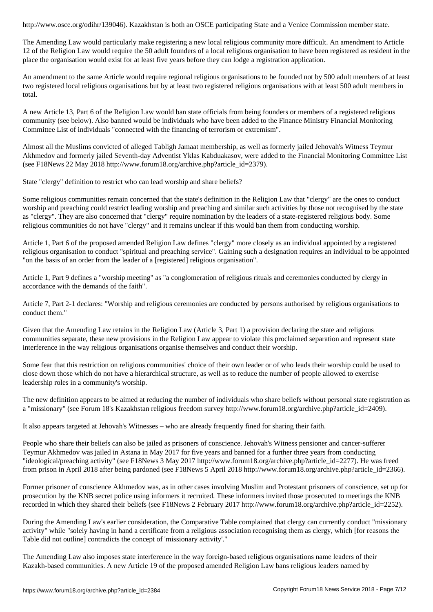The Amending Law would particularly make registering a new local religious community more difficult. An amendment to Article 12 of the Religion Law would require the 50 adult founders of a local religious organisation to have been registered as resident in the place the organisation would exist for at least five years before they can lodge a registration application.

An amendment to the same Article would require regional religious organisations to be founded not by 500 adult members of at least two registered local religious organisations but by at least two registered religious organisations with at least 500 adult members in total.

A new Article 13, Part 6 of the Religion Law would ban state officials from being founders or members of a registered religious community (see below). Also banned would be individuals who have been added to the Finance Ministry Financial Monitoring Committee List of individuals "connected with the financing of terrorism or extremism".

Almost all the Muslims convicted of alleged Tabligh Jamaat membership, as well as formerly jailed Jehovah's Witness Teymur Akhmedov and formerly jailed Seventh-day Adventist Yklas Kabduakasov, were added to the Financial Monitoring Committee List (see F18News 22 May 2018 http://www.forum18.org/archive.php?article\_id=2379).

State "clergy" definition to restrict who can lead worship and share beliefs?

Some religious communities remain concerned that the state's definition in the Religion Law that "clergy" are the ones to conduct worship and preaching could restrict leading worship and preaching and similar such activities by those not recognised by the state as "clergy". They are also concerned that "clergy" require nomination by the leaders of a state-registered religious body. Some religious communities do not have "clergy" and it remains unclear if this would ban them from conducting worship.

Article 1, Part 6 of the proposed amended Religion Law defines "clergy" more closely as an individual appointed by a registered religious organisation to conduct "spiritual and preaching service". Gaining such a designation requires an individual to be appointed "on the basis of an order from the leader of a [registered] religious organisation".

Article 1, Part 9 defines a "worship meeting" as "a conglomeration of religious rituals and ceremonies conducted by clergy in accordance with the demands of the faith".

Article 7, Part 2-1 declares: "Worship and religious ceremonies are conducted by persons authorised by religious organisations to conduct them."

Given that the Amending Law retains in the Religion Law (Article 3, Part 1) a provision declaring the state and religious communities separate, these new provisions in the Religion Law appear to violate this proclaimed separation and represent state interference in the way religious organisations organise themselves and conduct their worship.

Some fear that this restriction on religious communities' choice of their own leader or of who leads their worship could be used to close down those which do not have a hierarchical structure, as well as to reduce the number of people allowed to exercise leadership roles in a community's worship.

The new definition appears to be aimed at reducing the number of individuals who share beliefs without personal state registration as a "missionary" (see Forum 18's Kazakhstan religious freedom survey http://www.forum18.org/archive.php?article\_id=2409).

It also appears targeted at Jehovah's Witnesses – who are already frequently fined for sharing their faith.

People who share their beliefs can also be jailed as prisoners of conscience. Jehovah's Witness pensioner and cancer-sufferer Teymur Akhmedov was jailed in Astana in May 2017 for five years and banned for a further three years from conducting "ideological/preaching activity" (see F18News 3 May 2017 http://www.forum18.org/archive.php?article\_id=2277). He was freed from prison in April 2018 after being pardoned (see F18News 5 April 2018 http://www.forum18.org/archive.php?article\_id=2366).

Former prisoner of conscience Akhmedov was, as in other cases involving Muslim and Protestant prisoners of conscience, set up for prosecution by the KNB secret police using informers it recruited. These informers invited those prosecuted to meetings the KNB recorded in which they shared their beliefs (see F18News 2 February 2017 http://www.forum18.org/archive.php?article\_id=2252).

During the Amending Law's earlier consideration, the Comparative Table complained that clergy can currently conduct "missionary activity" while "solely having in hand a certificate from a religious association recognising them as clergy, which [for reasons the Table did not outline] contradicts the concept of 'missionary activity'."

The Amending Law also imposes state interference in the way foreign-based religious organisations name leaders of their Kazakh-based communities. A new Article 19 of the proposed amended Religion Law bans religious leaders named by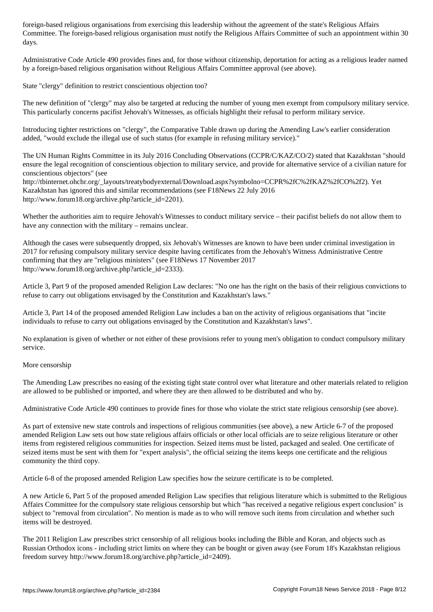Committee. The foreign-based religious organisation must notify the Religious Affairs Committee of such an appointment within 30 days.

Administrative Code Article 490 provides fines and, for those without citizenship, deportation for acting as a religious leader named by a foreign-based religious organisation without Religious Affairs Committee approval (see above).

State "clergy" definition to restrict conscientious objection too?

The new definition of "clergy" may also be targeted at reducing the number of young men exempt from compulsory military service. This particularly concerns pacifist Jehovah's Witnesses, as officials highlight their refusal to perform military service.

Introducing tighter restrictions on "clergy", the Comparative Table drawn up during the Amending Law's earlier consideration added, "would exclude the illegal use of such status (for example in refusing military service)."

The UN Human Rights Committee in its July 2016 Concluding Observations (CCPR/C/KAZ/CO/2) stated that Kazakhstan "should ensure the legal recognition of conscientious objection to military service, and provide for alternative service of a civilian nature for conscientious objectors" (see

http://tbinternet.ohchr.org/\_layouts/treatybodyexternal/Download.aspx?symbolno=CCPR%2fC%2fKAZ%2fCO%2f2). Yet Kazakhstan has ignored this and similar recommendations (see F18News 22 July 2016 http://www.forum18.org/archive.php?article\_id=2201).

Whether the authorities aim to require Jehovah's Witnesses to conduct military service – their pacifist beliefs do not allow them to have any connection with the military – remains unclear.

Although the cases were subsequently dropped, six Jehovah's Witnesses are known to have been under criminal investigation in 2017 for refusing compulsory military service despite having certificates from the Jehovah's Witness Administrative Centre confirming that they are "religious ministers" (see F18News 17 November 2017 http://www.forum18.org/archive.php?article\_id=2333).

Article 3, Part 9 of the proposed amended Religion Law declares: "No one has the right on the basis of their religious convictions to refuse to carry out obligations envisaged by the Constitution and Kazakhstan's laws."

Article 3, Part 14 of the proposed amended Religion Law includes a ban on the activity of religious organisations that "incite individuals to refuse to carry out obligations envisaged by the Constitution and Kazakhstan's laws".

No explanation is given of whether or not either of these provisions refer to young men's obligation to conduct compulsory military service.

More censorship

The Amending Law prescribes no easing of the existing tight state control over what literature and other materials related to religion are allowed to be published or imported, and where they are then allowed to be distributed and who by.

Administrative Code Article 490 continues to provide fines for those who violate the strict state religious censorship (see above).

As part of extensive new state controls and inspections of religious communities (see above), a new Article 6-7 of the proposed amended Religion Law sets out how state religious affairs officials or other local officials are to seize religious literature or other items from registered religious communities for inspection. Seized items must be listed, packaged and sealed. One certificate of seized items must be sent with them for "expert analysis", the official seizing the items keeps one certificate and the religious community the third copy.

Article 6-8 of the proposed amended Religion Law specifies how the seizure certificate is to be completed.

A new Article 6, Part 5 of the proposed amended Religion Law specifies that religious literature which is submitted to the Religious Affairs Committee for the compulsory state religious censorship but which "has received a negative religious expert conclusion" is subject to "removal from circulation". No mention is made as to who will remove such items from circulation and whether such items will be destroyed.

The 2011 Religion Law prescribes strict censorship of all religious books including the Bible and Koran, and objects such as Russian Orthodox icons - including strict limits on where they can be bought or given away (see Forum 18's Kazakhstan religious freedom survey http://www.forum18.org/archive.php?article\_id=2409).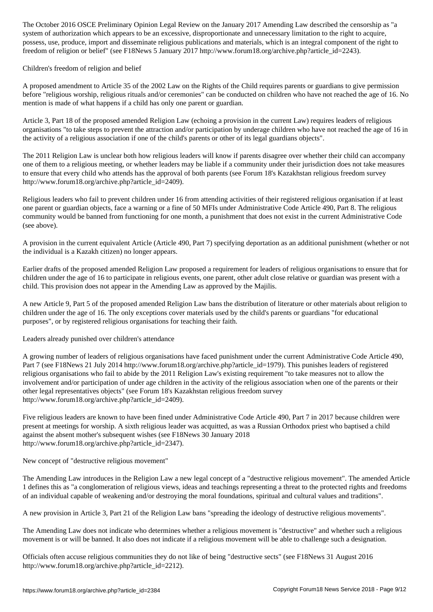system of authorization which appears to be an excessive, disproportionate and unnecessary limitation to the right to acquire, possess, use, produce, import and disseminate religious publications and materials, which is an integral component of the right to freedom of religion or belief" (see F18News 5 January 2017 http://www.forum18.org/archive.php?article\_id=2243).

Children's freedom of religion and belief

A proposed amendment to Article 35 of the 2002 Law on the Rights of the Child requires parents or guardians to give permission before "religious worship, religious rituals and/or ceremonies" can be conducted on children who have not reached the age of 16. No mention is made of what happens if a child has only one parent or guardian.

Article 3, Part 18 of the proposed amended Religion Law (echoing a provision in the current Law) requires leaders of religious organisations "to take steps to prevent the attraction and/or participation by underage children who have not reached the age of 16 in the activity of a religious association if one of the child's parents or other of its legal guardians objects".

The 2011 Religion Law is unclear both how religious leaders will know if parents disagree over whether their child can accompany one of them to a religious meeting, or whether leaders may be liable if a community under their jurisdiction does not take measures to ensure that every child who attends has the approval of both parents (see Forum 18's Kazakhstan religious freedom survey http://www.forum18.org/archive.php?article\_id=2409).

Religious leaders who fail to prevent children under 16 from attending activities of their registered religious organisation if at least one parent or guardian objects, face a warning or a fine of 50 MFIs under Administrative Code Article 490, Part 8. The religious community would be banned from functioning for one month, a punishment that does not exist in the current Administrative Code (see above).

A provision in the current equivalent Article (Article 490, Part 7) specifying deportation as an additional punishment (whether or not the individual is a Kazakh citizen) no longer appears.

Earlier drafts of the proposed amended Religion Law proposed a requirement for leaders of religious organisations to ensure that for children under the age of 16 to participate in religious events, one parent, other adult close relative or guardian was present with a child. This provision does not appear in the Amending Law as approved by the Majilis.

A new Article 9, Part 5 of the proposed amended Religion Law bans the distribution of literature or other materials about religion to children under the age of 16. The only exceptions cover materials used by the child's parents or guardians "for educational purposes", or by registered religious organisations for teaching their faith.

Leaders already punished over children's attendance

A growing number of leaders of religious organisations have faced punishment under the current Administrative Code Article 490, Part 7 (see F18News 21 July 2014 http://www.forum18.org/archive.php?article\_id=1979). This punishes leaders of registered religious organisations who fail to abide by the 2011 Religion Law's existing requirement "to take measures not to allow the involvement and/or participation of under age children in the activity of the religious association when one of the parents or their other legal representatives objects" (see Forum 18's Kazakhstan religious freedom survey http://www.forum18.org/archive.php?article\_id=2409).

Five religious leaders are known to have been fined under Administrative Code Article 490, Part 7 in 2017 because children were present at meetings for worship. A sixth religious leader was acquitted, as was a Russian Orthodox priest who baptised a child against the absent mother's subsequent wishes (see F18News 30 January 2018 http://www.forum18.org/archive.php?article\_id=2347).

New concept of "destructive religious movement"

The Amending Law introduces in the Religion Law a new legal concept of a "destructive religious movement". The amended Article 1 defines this as "a conglomeration of religious views, ideas and teachings representing a threat to the protected rights and freedoms of an individual capable of weakening and/or destroying the moral foundations, spiritual and cultural values and traditions".

A new provision in Article 3, Part 21 of the Religion Law bans "spreading the ideology of destructive religious movements".

The Amending Law does not indicate who determines whether a religious movement is "destructive" and whether such a religious movement is or will be banned. It also does not indicate if a religious movement will be able to challenge such a designation.

Officials often accuse religious communities they do not like of being "destructive sects" (see F18News 31 August 2016 http://www.forum18.org/archive.php?article\_id=2212).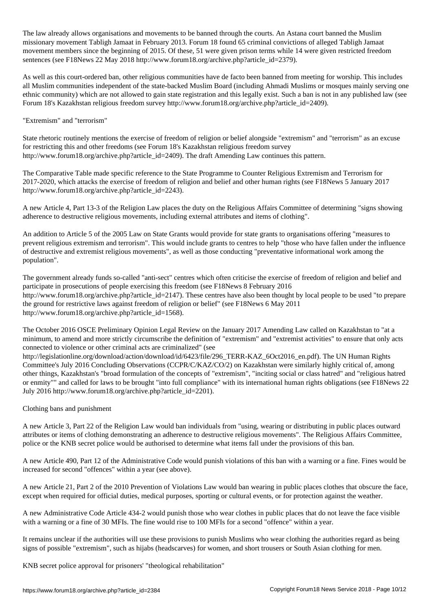The law already allows organisations and movements to be banned through the courts. An Astana court banned the Muslim missionary movement Tabligh Jamaat in February 2013. Forum 18 found 65 criminal convictions of alleged Tabligh Jamaat movement members since the beginning of 2015. Of these, 51 were given prison terms while 14 were given restricted freedom sentences (see F18News 22 May 2018 http://www.forum18.org/archive.php?article\_id=2379).

As well as this court-ordered ban, other religious communities have de facto been banned from meeting for worship. This includes all Muslim communities independent of the state-backed Muslim Board (including Ahmadi Muslims or mosques mainly serving one ethnic community) which are not allowed to gain state registration and this legally exist. Such a ban is not in any published law (see Forum 18's Kazakhstan religious freedom survey http://www.forum18.org/archive.php?article\_id=2409).

## "Extremism" and "terrorism"

State rhetoric routinely mentions the exercise of freedom of religion or belief alongside "extremism" and "terrorism" as an excuse for restricting this and other freedoms (see Forum 18's Kazakhstan religious freedom survey http://www.forum18.org/archive.php?article\_id=2409). The draft Amending Law continues this pattern.

The Comparative Table made specific reference to the State Programme to Counter Religious Extremism and Terrorism for 2017-2020, which attacks the exercise of freedom of religion and belief and other human rights (see F18News 5 January 2017 http://www.forum18.org/archive.php?article\_id=2243).

A new Article 4, Part 13-3 of the Religion Law places the duty on the Religious Affairs Committee of determining "signs showing adherence to destructive religious movements, including external attributes and items of clothing".

An addition to Article 5 of the 2005 Law on State Grants would provide for state grants to organisations offering "measures to prevent religious extremism and terrorism". This would include grants to centres to help "those who have fallen under the influence of destructive and extremist religious movements", as well as those conducting "preventative informational work among the population".

The government already funds so-called "anti-sect" centres which often criticise the exercise of freedom of religion and belief and participate in prosecutions of people exercising this freedom (see F18News 8 February 2016 http://www.forum18.org/archive.php?article\_id=2147). These centres have also been thought by local people to be used "to prepare the ground for restrictive laws against freedom of religion or belief" (see F18News 6 May 2011 http://www.forum18.org/archive.php?article\_id=1568).

The October 2016 OSCE Preliminary Opinion Legal Review on the January 2017 Amending Law called on Kazakhstan to "at a minimum, to amend and more strictly circumscribe the definition of "extremism" and "extremist activities" to ensure that only acts connected to violence or other criminal acts are criminalized" (see

http://legislationline.org/download/action/download/id/6423/file/296\_TERR-KAZ\_6Oct2016\_en.pdf). The UN Human Rights Committee's July 2016 Concluding Observations (CCPR/C/KAZ/CO/2) on Kazakhstan were similarly highly critical of, among other things, Kazakhstan's "broad formulation of the concepts of "extremism", "inciting social or class hatred" and "religious hatred or enmity"" and called for laws to be brought "into full compliance" with its international human rights obligations (see F18News 22 July 2016 http://www.forum18.org/archive.php?article\_id=2201).

Clothing bans and punishment

A new Article 3, Part 22 of the Religion Law would ban individuals from "using, wearing or distributing in public places outward attributes or items of clothing demonstrating an adherence to destructive religious movements". The Religious Affairs Committee, police or the KNB secret police would be authorised to determine what items fall under the provisions of this ban.

A new Article 490, Part 12 of the Administrative Code would punish violations of this ban with a warning or a fine. Fines would be increased for second "offences" within a year (see above).

A new Article 21, Part 2 of the 2010 Prevention of Violations Law would ban wearing in public places clothes that obscure the face, except when required for official duties, medical purposes, sporting or cultural events, or for protection against the weather.

A new Administrative Code Article 434-2 would punish those who wear clothes in public places that do not leave the face visible with a warning or a fine of 30 MFIs. The fine would rise to 100 MFIs for a second "offence" within a year.

It remains unclear if the authorities will use these provisions to punish Muslims who wear clothing the authorities regard as being signs of possible "extremism", such as hijabs (headscarves) for women, and short trousers or South Asian clothing for men.

KNB secret police approval for prisoners' "theological rehabilitation"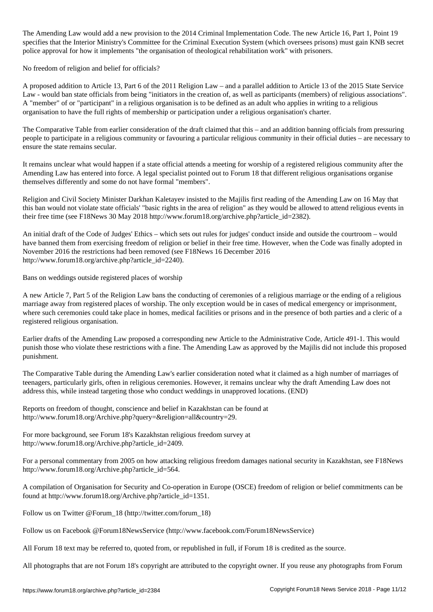The Amending Law would add a new provision to the 2014 Criminal Implementation  $\ell$  , Part 1, Part 1, Part 1, Point 19, Part 1, Part 1, Part 1, Part 1, Part 1, Part 1, Part 1, Part 1, Part 1, Part 1, Part 1, Part 1, Part specifies that the Interior Ministry's Committee for the Criminal Execution System (which oversees prisons) must gain KNB secret police approval for how it implements "the organisation of theological rehabilitation work" with prisoners.

No freedom of religion and belief for officials?

A proposed addition to Article 13, Part 6 of the 2011 Religion Law – and a parallel addition to Article 13 of the 2015 State Service Law - would ban state officials from being "initiators in the creation of, as well as participants (members) of religious associations". A "member" of or "participant" in a religious organisation is to be defined as an adult who applies in writing to a religious organisation to have the full rights of membership or participation under a religious organisation's charter.

The Comparative Table from earlier consideration of the draft claimed that this – and an addition banning officials from pressuring people to participate in a religious community or favouring a particular religious community in their official duties – are necessary to ensure the state remains secular.

It remains unclear what would happen if a state official attends a meeting for worship of a registered religious community after the Amending Law has entered into force. A legal specialist pointed out to Forum 18 that different religious organisations organise themselves differently and some do not have formal "members".

Religion and Civil Society Minister Darkhan Kaletayev insisted to the Majilis first reading of the Amending Law on 16 May that this ban would not violate state officials' "basic rights in the area of religion" as they would be allowed to attend religious events in their free time (see F18News 30 May 2018 http://www.forum18.org/archive.php?article\_id=2382).

An initial draft of the Code of Judges' Ethics – which sets out rules for judges' conduct inside and outside the courtroom – would have banned them from exercising freedom of religion or belief in their free time. However, when the Code was finally adopted in November 2016 the restrictions had been removed (see F18News 16 December 2016 http://www.forum18.org/archive.php?article\_id=2240).

Bans on weddings outside registered places of worship

A new Article 7, Part 5 of the Religion Law bans the conducting of ceremonies of a religious marriage or the ending of a religious marriage away from registered places of worship. The only exception would be in cases of medical emergency or imprisonment, where such ceremonies could take place in homes, medical facilities or prisons and in the presence of both parties and a cleric of a registered religious organisation.

Earlier drafts of the Amending Law proposed a corresponding new Article to the Administrative Code, Article 491-1. This would punish those who violate these restrictions with a fine. The Amending Law as approved by the Majilis did not include this proposed punishment.

The Comparative Table during the Amending Law's earlier consideration noted what it claimed as a high number of marriages of teenagers, particularly girls, often in religious ceremonies. However, it remains unclear why the draft Amending Law does not address this, while instead targeting those who conduct weddings in unapproved locations. (END)

Reports on freedom of thought, conscience and belief in Kazakhstan can be found at http://www.forum18.org/Archive.php?query=&religion=all&country=29.

For more background, see Forum 18's Kazakhstan religious freedom survey at http://www.forum18.org/Archive.php?article\_id=2409.

For a personal commentary from 2005 on how attacking religious freedom damages national security in Kazakhstan, see F18News http://www.forum18.org/Archive.php?article\_id=564.

A compilation of Organisation for Security and Co-operation in Europe (OSCE) freedom of religion or belief commitments can be found at http://www.forum18.org/Archive.php?article\_id=1351.

Follow us on Twitter @Forum\_18 (http://twitter.com/forum\_18)

Follow us on Facebook @Forum18NewsService (http://www.facebook.com/Forum18NewsService)

All Forum 18 text may be referred to, quoted from, or republished in full, if Forum 18 is credited as the source.

All photographs that are not Forum 18's copyright are attributed to the copyright owner. If you reuse any photographs from Forum